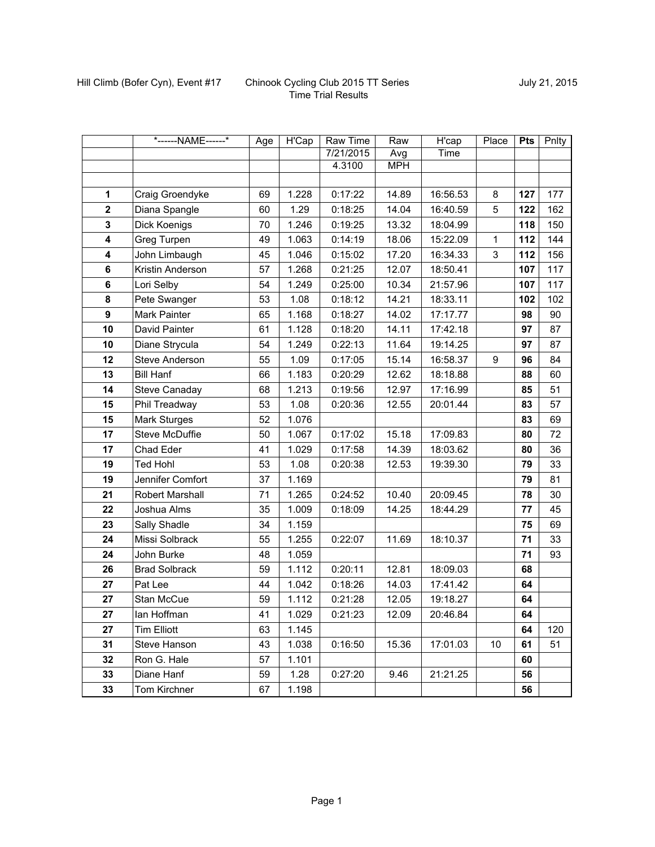|                         | *------NAME------*    | Age | <b>H'Cap</b> | <b>Raw Time</b> | Raw        | H'cap    | Place | <b>Pts</b> | Pnlty |
|-------------------------|-----------------------|-----|--------------|-----------------|------------|----------|-------|------------|-------|
|                         |                       |     |              | 7/21/2015       | Avg        | Time     |       |            |       |
|                         |                       |     |              | 4.3100          | <b>MPH</b> |          |       |            |       |
|                         |                       |     |              |                 |            |          |       |            |       |
| $\mathbf{1}$            | Craig Groendyke       | 69  | 1.228        | 0:17:22         | 14.89      | 16:56.53 | 8     | 127        | 177   |
| $\overline{\mathbf{2}}$ | Diana Spangle         | 60  | 1.29         | 0:18:25         | 14.04      | 16:40.59 | 5     | 122        | 162   |
| 3                       | Dick Koenigs          | 70  | 1.246        | 0:19:25         | 13.32      | 18:04.99 |       | 118        | 150   |
| 4                       | Greg Turpen           | 49  | 1.063        | 0:14:19         | 18.06      | 15:22.09 | 1     | 112        | 144   |
| 4                       | John Limbaugh         | 45  | 1.046        | 0:15:02         | 17.20      | 16:34.33 | 3     | 112        | 156   |
| 6                       | Kristin Anderson      | 57  | 1.268        | 0:21:25         | 12.07      | 18:50.41 |       | 107        | 117   |
| 6                       | Lori Selby            | 54  | 1.249        | 0:25:00         | 10.34      | 21:57.96 |       | 107        | 117   |
| 8                       | Pete Swanger          | 53  | 1.08         | 0:18:12         | 14.21      | 18:33.11 |       | 102        | 102   |
| 9                       | Mark Painter          | 65  | 1.168        | 0:18:27         | 14.02      | 17:17.77 |       | 98         | 90    |
| 10                      | David Painter         | 61  | 1.128        | 0:18:20         | 14.11      | 17:42.18 |       | 97         | 87    |
| 10                      | Diane Strycula        | 54  | 1.249        | 0:22:13         | 11.64      | 19:14.25 |       | 97         | 87    |
| 12                      | <b>Steve Anderson</b> | 55  | 1.09         | 0:17:05         | 15.14      | 16:58.37 | 9     | 96         | 84    |
| 13                      | <b>Bill Hanf</b>      | 66  | 1.183        | 0:20:29         | 12.62      | 18:18.88 |       | 88         | 60    |
| 14                      | <b>Steve Canaday</b>  | 68  | 1.213        | 0:19:56         | 12.97      | 17:16.99 |       | 85         | 51    |
| 15                      | Phil Treadway         | 53  | 1.08         | 0:20:36         | 12.55      | 20:01.44 |       | 83         | 57    |
| 15                      | <b>Mark Sturges</b>   | 52  | 1.076        |                 |            |          |       | 83         | 69    |
| 17                      | <b>Steve McDuffie</b> | 50  | 1.067        | 0:17:02         | 15.18      | 17:09.83 |       | 80         | 72    |
| 17                      | Chad Eder             | 41  | 1.029        | 0:17:58         | 14.39      | 18:03.62 |       | 80         | 36    |
| 19                      | <b>Ted Hohl</b>       | 53  | 1.08         | 0:20:38         | 12.53      | 19:39.30 |       | 79         | 33    |
| 19                      | Jennifer Comfort      | 37  | 1.169        |                 |            |          |       | 79         | 81    |
| 21                      | Robert Marshall       | 71  | 1.265        | 0:24:52         | 10.40      | 20:09.45 |       | 78         | 30    |
| 22                      | Joshua Alms           | 35  | 1.009        | 0:18:09         | 14.25      | 18:44.29 |       | 77         | 45    |
| 23                      | Sally Shadle          | 34  | 1.159        |                 |            |          |       | 75         | 69    |
| 24                      | Missi Solbrack        | 55  | 1.255        | 0:22:07         | 11.69      | 18:10.37 |       | 71         | 33    |
| 24                      | John Burke            | 48  | 1.059        |                 |            |          |       | 71         | 93    |
| 26                      | <b>Brad Solbrack</b>  | 59  | 1.112        | 0:20:11         | 12.81      | 18:09.03 |       | 68         |       |
| 27                      | Pat Lee               | 44  | 1.042        | 0:18:26         | 14.03      | 17:41.42 |       | 64         |       |
| 27                      | Stan McCue            | 59  | 1.112        | 0:21:28         | 12.05      | 19:18.27 |       | 64         |       |
| 27                      | Ian Hoffman           | 41  | 1.029        | 0:21:23         | 12.09      | 20:46.84 |       | 64         |       |
| 27                      | <b>Tim Elliott</b>    | 63  | 1.145        |                 |            |          |       | 64         | 120   |
| 31                      | Steve Hanson          | 43  | 1.038        | 0:16:50         | 15.36      | 17:01.03 | 10    | 61         | 51    |
| 32                      | Ron G. Hale           | 57  | 1.101        |                 |            |          |       | 60         |       |
| 33                      | Diane Hanf            | 59  | 1.28         | 0:27:20         | 9.46       | 21:21.25 |       | 56         |       |
| 33                      | Tom Kirchner          | 67  | 1.198        |                 |            |          |       | 56         |       |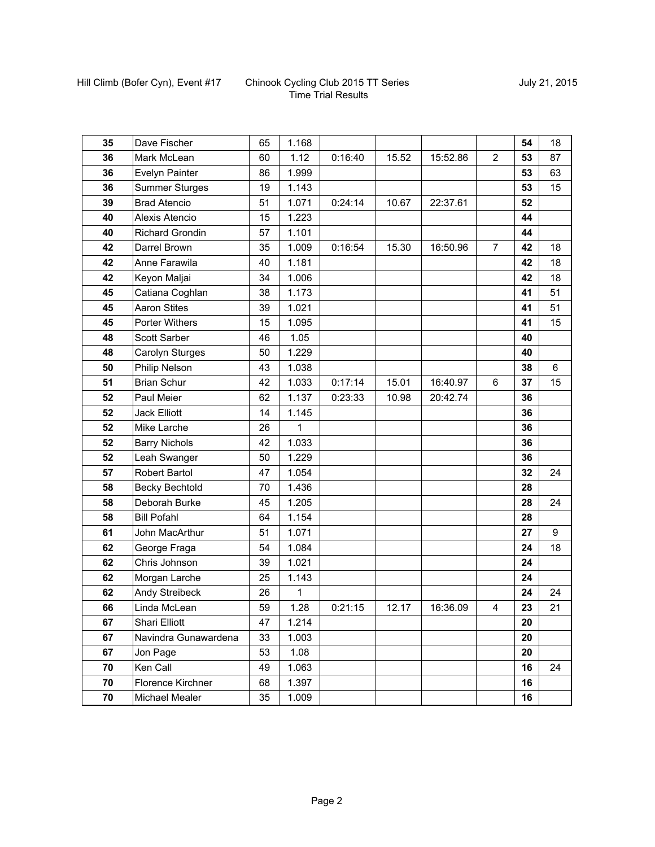| 35 | Dave Fischer           | 65 | 1.168       |         |       |          |                | 54 | 18 |
|----|------------------------|----|-------------|---------|-------|----------|----------------|----|----|
| 36 | Mark McLean            | 60 | 1.12        | 0:16:40 | 15.52 | 15:52.86 | $\overline{2}$ | 53 | 87 |
| 36 | Evelyn Painter         | 86 | 1.999       |         |       |          |                | 53 | 63 |
| 36 | <b>Summer Sturges</b>  | 19 | 1.143       |         |       |          |                | 53 | 15 |
| 39 | <b>Brad Atencio</b>    | 51 | 1.071       | 0:24:14 | 10.67 | 22:37.61 |                | 52 |    |
| 40 | Alexis Atencio         | 15 | 1.223       |         |       |          |                | 44 |    |
| 40 | <b>Richard Grondin</b> | 57 | 1.101       |         |       |          |                | 44 |    |
| 42 | Darrel Brown           | 35 | 1.009       | 0:16:54 | 15.30 | 16:50.96 | $\overline{7}$ | 42 | 18 |
| 42 | Anne Farawila          | 40 | 1.181       |         |       |          |                | 42 | 18 |
| 42 | Keyon Maljai           | 34 | 1.006       |         |       |          |                | 42 | 18 |
| 45 | Catiana Coghlan        | 38 | 1.173       |         |       |          |                | 41 | 51 |
| 45 | <b>Aaron Stites</b>    | 39 | 1.021       |         |       |          |                | 41 | 51 |
| 45 | Porter Withers         | 15 | 1.095       |         |       |          |                | 41 | 15 |
| 48 | Scott Sarber           | 46 | 1.05        |         |       |          |                | 40 |    |
| 48 | Carolyn Sturges        | 50 | 1.229       |         |       |          |                | 40 |    |
| 50 | Philip Nelson          | 43 | 1.038       |         |       |          |                | 38 | 6  |
| 51 | <b>Brian Schur</b>     | 42 | 1.033       | 0:17:14 | 15.01 | 16:40.97 | 6              | 37 | 15 |
| 52 | Paul Meier             | 62 | 1.137       | 0:23:33 | 10.98 | 20:42.74 |                | 36 |    |
| 52 | <b>Jack Elliott</b>    | 14 | 1.145       |         |       |          |                | 36 |    |
| 52 | Mike Larche            | 26 | 1           |         |       |          |                | 36 |    |
| 52 | <b>Barry Nichols</b>   | 42 | 1.033       |         |       |          |                | 36 |    |
| 52 | Leah Swanger           | 50 | 1.229       |         |       |          |                | 36 |    |
| 57 | Robert Bartol          | 47 | 1.054       |         |       |          |                | 32 | 24 |
| 58 | <b>Becky Bechtold</b>  | 70 | 1.436       |         |       |          |                | 28 |    |
| 58 | Deborah Burke          | 45 | 1.205       |         |       |          |                | 28 | 24 |
| 58 | <b>Bill Pofahl</b>     | 64 | 1.154       |         |       |          |                | 28 |    |
| 61 | John MacArthur         | 51 | 1.071       |         |       |          |                | 27 | 9  |
| 62 | George Fraga           | 54 | 1.084       |         |       |          |                | 24 | 18 |
| 62 | Chris Johnson          | 39 | 1.021       |         |       |          |                | 24 |    |
| 62 | Morgan Larche          | 25 | 1.143       |         |       |          |                | 24 |    |
| 62 | Andy Streibeck         | 26 | $\mathbf 1$ |         |       |          |                | 24 | 24 |
| 66 | Linda McLean           | 59 | 1.28        | 0:21:15 | 12.17 | 16:36.09 | 4              | 23 | 21 |
| 67 | Shari Elliott          | 47 | 1.214       |         |       |          |                | 20 |    |
| 67 | Navindra Gunawardena   | 33 | 1.003       |         |       |          |                | 20 |    |
| 67 | Jon Page               | 53 | 1.08        |         |       |          |                | 20 |    |
| 70 | Ken Call               | 49 | 1.063       |         |       |          |                | 16 | 24 |
| 70 | Florence Kirchner      | 68 | 1.397       |         |       |          |                | 16 |    |
| 70 | <b>Michael Mealer</b>  | 35 | 1.009       |         |       |          |                | 16 |    |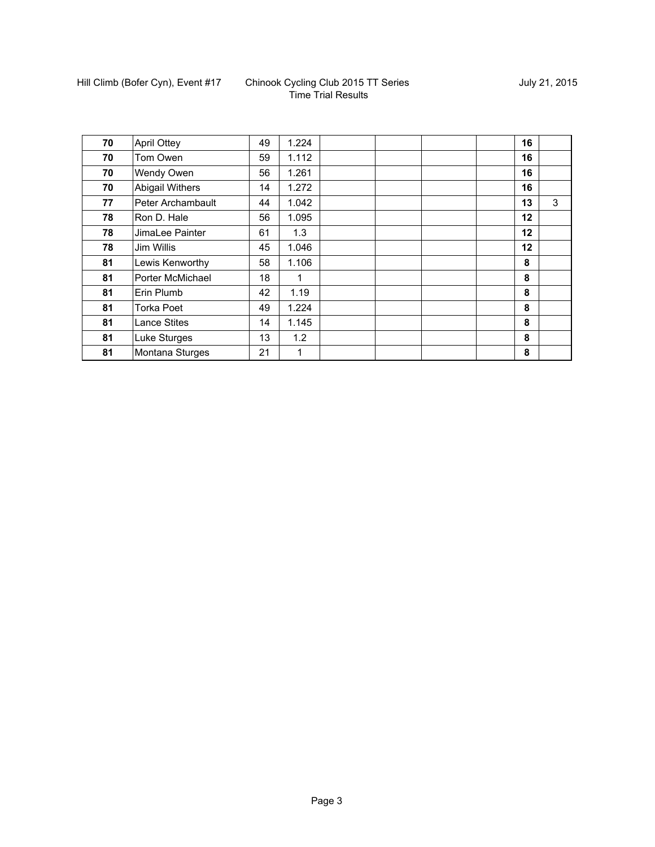| 70 | <b>April Ottey</b>  | 49 | 1.224       |  | 16      |   |
|----|---------------------|----|-------------|--|---------|---|
| 70 | Tom Owen            | 59 | 1.112       |  | 16      |   |
| 70 | <b>Wendy Owen</b>   | 56 | 1.261       |  | 16      |   |
| 70 | Abigail Withers     | 14 | 1.272       |  | 16      |   |
| 77 | Peter Archambault   | 44 | 1.042       |  | 13      | 3 |
| 78 | Ron D. Hale         | 56 | 1.095       |  | $12 \,$ |   |
| 78 | JimaLee Painter     | 61 | 1.3         |  | 12      |   |
| 78 | Jim Willis          | 45 | 1.046       |  | 12      |   |
| 81 | Lewis Kenworthy     | 58 | 1.106       |  | 8       |   |
| 81 | Porter McMichael    | 18 | 1           |  | 8       |   |
| 81 | Erin Plumb          | 42 | 1.19        |  | 8       |   |
| 81 | <b>Torka Poet</b>   | 49 | 1.224       |  | 8       |   |
| 81 | <b>Lance Stites</b> | 14 | 1.145       |  | 8       |   |
| 81 | Luke Sturges        | 13 | 1.2         |  | 8       |   |
| 81 | Montana Sturges     | 21 | $\mathbf 1$ |  | 8       |   |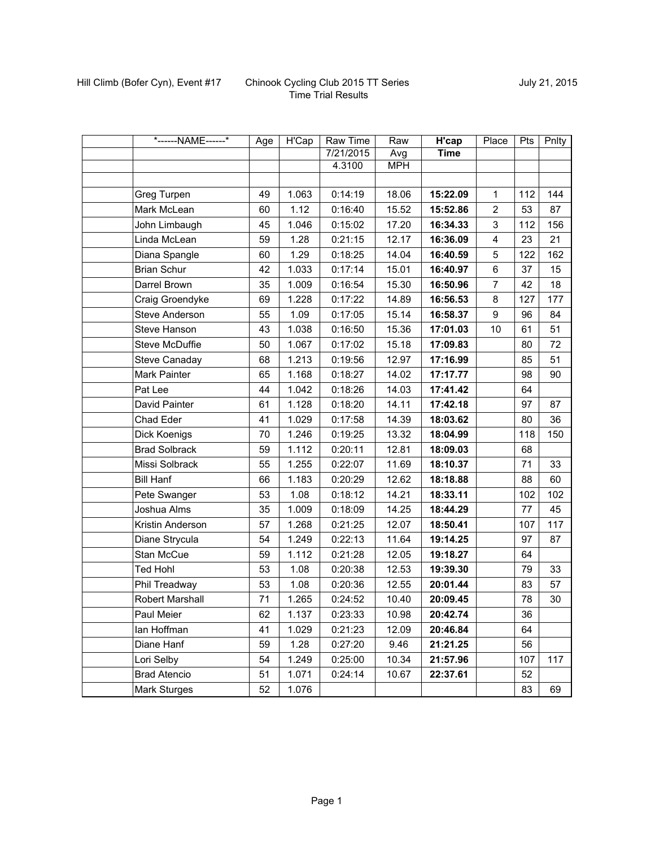| *------NAME------*    | Age | <b>H'Cap</b> | <b>Raw Time</b> | Raw        | H'cap       | Place          | Pts | Pnlty |
|-----------------------|-----|--------------|-----------------|------------|-------------|----------------|-----|-------|
|                       |     |              | 7/21/2015       | Avg        | <b>Time</b> |                |     |       |
|                       |     |              | 4.3100          | <b>MPH</b> |             |                |     |       |
|                       |     |              |                 |            |             |                |     |       |
| Greg Turpen           | 49  | 1.063        | 0:14:19         | 18.06      | 15:22.09    | $\mathbf{1}$   | 112 | 144   |
| Mark McLean           | 60  | 1.12         | 0:16:40         | 15.52      | 15:52.86    | $\overline{2}$ | 53  | 87    |
| John Limbaugh         | 45  | 1.046        | 0:15:02         | 17.20      | 16:34.33    | 3              | 112 | 156   |
| Linda McLean          | 59  | 1.28         | 0:21:15         | 12.17      | 16:36.09    | 4              | 23  | 21    |
| Diana Spangle         | 60  | 1.29         | 0:18:25         | 14.04      | 16:40.59    | 5              | 122 | 162   |
| <b>Brian Schur</b>    | 42  | 1.033        | 0:17:14         | 15.01      | 16:40.97    | 6              | 37  | 15    |
| Darrel Brown          | 35  | 1.009        | 0:16:54         | 15.30      | 16:50.96    | $\overline{7}$ | 42  | 18    |
| Craig Groendyke       | 69  | 1.228        | 0:17:22         | 14.89      | 16:56.53    | 8              | 127 | 177   |
| Steve Anderson        | 55  | 1.09         | 0:17:05         | 15.14      | 16:58.37    | 9              | 96  | 84    |
| Steve Hanson          | 43  | 1.038        | 0:16:50         | 15.36      | 17:01.03    | 10             | 61  | 51    |
| <b>Steve McDuffie</b> | 50  | 1.067        | 0:17:02         | 15.18      | 17:09.83    |                | 80  | 72    |
| Steve Canaday         | 68  | 1.213        | 0:19:56         | 12.97      | 17:16.99    |                | 85  | 51    |
| Mark Painter          | 65  | 1.168        | 0:18:27         | 14.02      | 17:17.77    |                | 98  | 90    |
| Pat Lee               | 44  | 1.042        | 0:18:26         | 14.03      | 17:41.42    |                | 64  |       |
| David Painter         | 61  | 1.128        | 0:18:20         | 14.11      | 17:42.18    |                | 97  | 87    |
| Chad Eder             | 41  | 1.029        | 0:17:58         | 14.39      | 18:03.62    |                | 80  | 36    |
| Dick Koenigs          | 70  | 1.246        | 0:19:25         | 13.32      | 18:04.99    |                | 118 | 150   |
| <b>Brad Solbrack</b>  | 59  | 1.112        | 0:20:11         | 12.81      | 18:09.03    |                | 68  |       |
| Missi Solbrack        | 55  | 1.255        | 0:22:07         | 11.69      | 18:10.37    |                | 71  | 33    |
| <b>Bill Hanf</b>      | 66  | 1.183        | 0:20:29         | 12.62      | 18:18.88    |                | 88  | 60    |
| Pete Swanger          | 53  | 1.08         | 0:18:12         | 14.21      | 18:33.11    |                | 102 | 102   |
| Joshua Alms           | 35  | 1.009        | 0:18:09         | 14.25      | 18:44.29    |                | 77  | 45    |
| Kristin Anderson      | 57  | 1.268        | 0:21:25         | 12.07      | 18:50.41    |                | 107 | 117   |
| Diane Strycula        | 54  | 1.249        | 0:22:13         | 11.64      | 19:14.25    |                | 97  | 87    |
| Stan McCue            | 59  | 1.112        | 0:21:28         | 12.05      | 19:18.27    |                | 64  |       |
| Ted Hohl              | 53  | 1.08         | 0:20:38         | 12.53      | 19:39.30    |                | 79  | 33    |
| Phil Treadway         | 53  | 1.08         | 0:20:36         | 12.55      | 20:01.44    |                | 83  | 57    |
| Robert Marshall       | 71  | 1.265        | 0:24:52         | 10.40      | 20:09.45    |                | 78  | 30    |
| Paul Meier            | 62  | 1.137        | 0:23:33         | 10.98      | 20:42.74    |                | 36  |       |
| lan Hoffman           | 41  | 1.029        | 0:21:23         | 12.09      | 20:46.84    |                | 64  |       |
| Diane Hanf            | 59  | 1.28         | 0:27:20         | 9.46       | 21:21.25    |                | 56  |       |
| Lori Selby            | 54  | 1.249        | 0:25:00         | 10.34      | 21:57.96    |                | 107 | 117   |
| <b>Brad Atencio</b>   | 51  | 1.071        | 0:24:14         | 10.67      | 22:37.61    |                | 52  |       |
| <b>Mark Sturges</b>   | 52  | 1.076        |                 |            |             |                | 83  | 69    |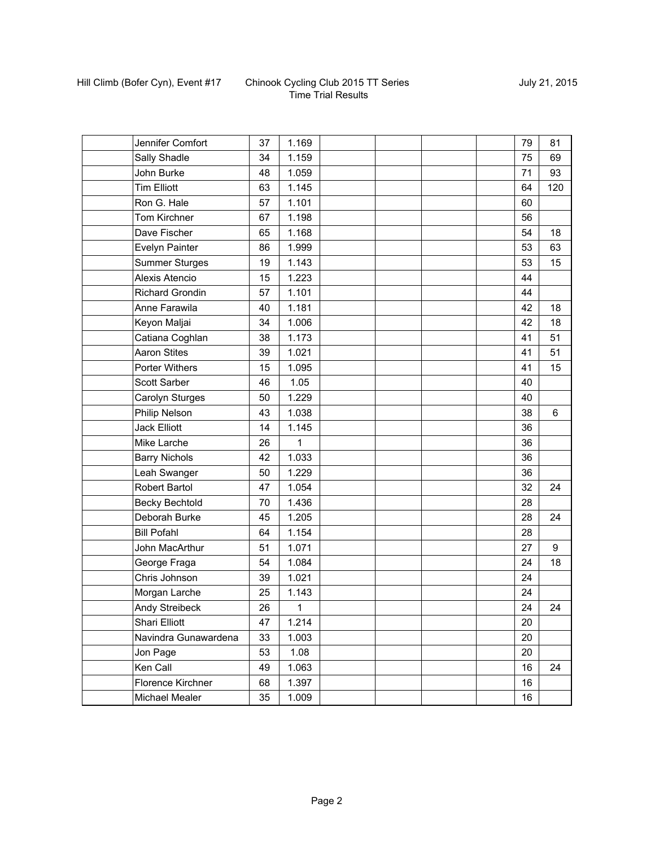| Jennifer Comfort       | 37 | 1.169 |  |  | 79 | 81  |
|------------------------|----|-------|--|--|----|-----|
| Sally Shadle           | 34 | 1.159 |  |  | 75 | 69  |
| John Burke             | 48 | 1.059 |  |  | 71 | 93  |
| <b>Tim Elliott</b>     | 63 | 1.145 |  |  | 64 | 120 |
| Ron G. Hale            | 57 | 1.101 |  |  | 60 |     |
| Tom Kirchner           | 67 | 1.198 |  |  | 56 |     |
| Dave Fischer           | 65 | 1.168 |  |  | 54 | 18  |
| Evelyn Painter         | 86 | 1.999 |  |  | 53 | 63  |
| <b>Summer Sturges</b>  | 19 | 1.143 |  |  | 53 | 15  |
| <b>Alexis Atencio</b>  | 15 | 1.223 |  |  | 44 |     |
| <b>Richard Grondin</b> | 57 | 1.101 |  |  | 44 |     |
| Anne Farawila          | 40 | 1.181 |  |  | 42 | 18  |
| Keyon Maljai           | 34 | 1.006 |  |  | 42 | 18  |
| Catiana Coghlan        | 38 | 1.173 |  |  | 41 | 51  |
| <b>Aaron Stites</b>    | 39 | 1.021 |  |  | 41 | 51  |
| Porter Withers         | 15 | 1.095 |  |  | 41 | 15  |
| Scott Sarber           | 46 | 1.05  |  |  | 40 |     |
| Carolyn Sturges        | 50 | 1.229 |  |  | 40 |     |
| Philip Nelson          | 43 | 1.038 |  |  | 38 | 6   |
| Jack Elliott           | 14 | 1.145 |  |  | 36 |     |
| Mike Larche            | 26 | 1     |  |  | 36 |     |
| <b>Barry Nichols</b>   | 42 | 1.033 |  |  | 36 |     |
| Leah Swanger           | 50 | 1.229 |  |  | 36 |     |
| <b>Robert Bartol</b>   | 47 | 1.054 |  |  | 32 | 24  |
| Becky Bechtold         | 70 | 1.436 |  |  | 28 |     |
| Deborah Burke          | 45 | 1.205 |  |  | 28 | 24  |
| <b>Bill Pofahl</b>     | 64 | 1.154 |  |  | 28 |     |
| John MacArthur         | 51 | 1.071 |  |  | 27 | 9   |
| George Fraga           | 54 | 1.084 |  |  | 24 | 18  |
| Chris Johnson          | 39 | 1.021 |  |  | 24 |     |
| Morgan Larche          | 25 | 1.143 |  |  | 24 |     |
| Andy Streibeck         | 26 | 1     |  |  | 24 | 24  |
| Shari Elliott          | 47 | 1.214 |  |  | 20 |     |
| Navindra Gunawardena   | 33 | 1.003 |  |  | 20 |     |
| Jon Page               | 53 | 1.08  |  |  | 20 |     |
| Ken Call               | 49 | 1.063 |  |  | 16 | 24  |
| Florence Kirchner      | 68 | 1.397 |  |  | 16 |     |
| Michael Mealer         | 35 | 1.009 |  |  | 16 |     |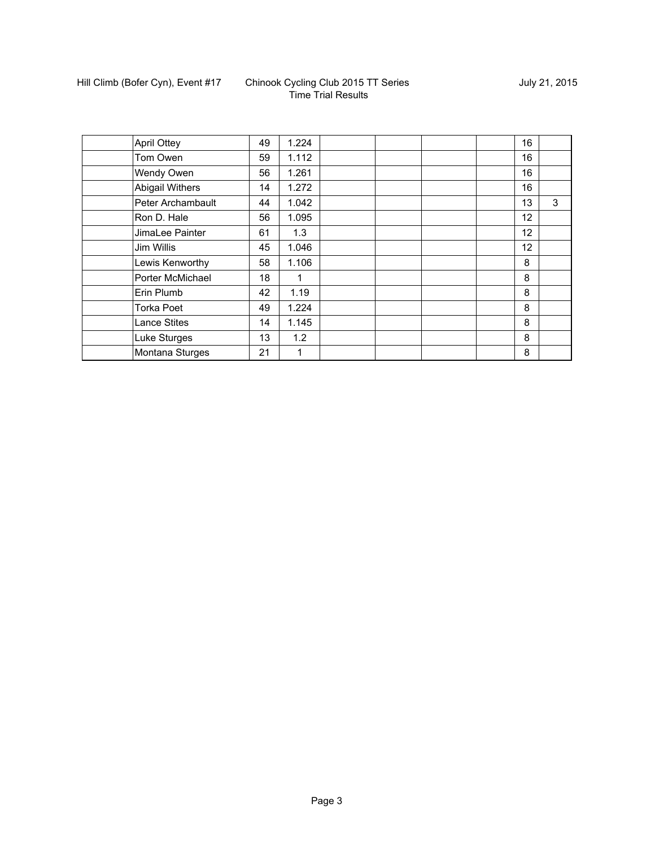| <b>April Ottey</b>     | 49 | 1.224 |  |  | 16 |   |
|------------------------|----|-------|--|--|----|---|
| Tom Owen               | 59 | 1.112 |  |  | 16 |   |
| Wendy Owen             | 56 | 1.261 |  |  | 16 |   |
| <b>Abigail Withers</b> | 14 | 1.272 |  |  | 16 |   |
| Peter Archambault      | 44 | 1.042 |  |  | 13 | 3 |
| Ron D. Hale            | 56 | 1.095 |  |  | 12 |   |
| JimaLee Painter        | 61 | 1.3   |  |  | 12 |   |
| Jim Willis             | 45 | 1.046 |  |  | 12 |   |
| Lewis Kenworthy        | 58 | 1.106 |  |  | 8  |   |
| Porter McMichael       | 18 |       |  |  | 8  |   |
| Erin Plumb             | 42 | 1.19  |  |  | 8  |   |
| <b>Torka Poet</b>      | 49 | 1.224 |  |  | 8  |   |
| <b>Lance Stites</b>    | 14 | 1.145 |  |  | 8  |   |
| Luke Sturges           | 13 | 1.2   |  |  | 8  |   |
| Montana Sturges        | 21 | 1     |  |  | 8  |   |